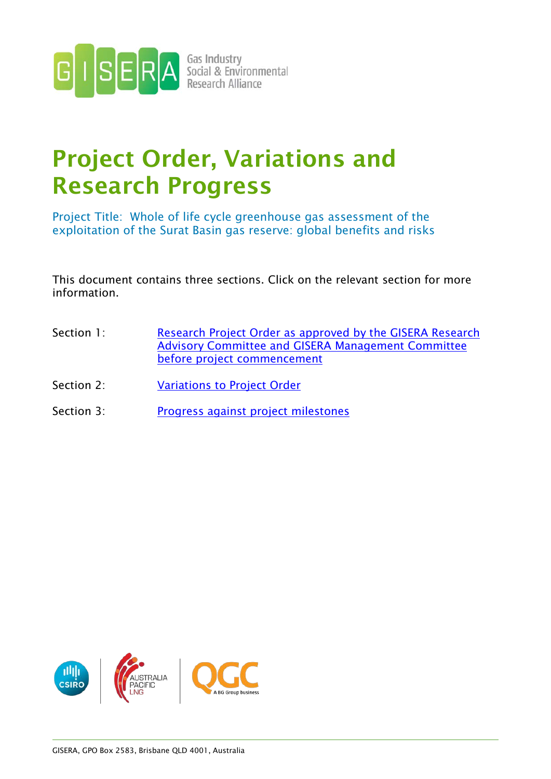

# Project Order, Variations and Research Progress

Project Title: Whole of life cycle greenhouse gas assessment of the exploitation of the Surat Basin gas reserve: global benefits and risks

This document contains three sections. Click on the relevant section for more information.

- Section 1: Research Project Order as approved by the GISERA Research [Advisory Committee and GISERA Management Committee](#page-1-0)  [before project commencement](#page-1-0)
- Section 2: **[Variations to Project Order](#page-19-0)**
- Section 3: [Progress against project milestones](#page-19-0)

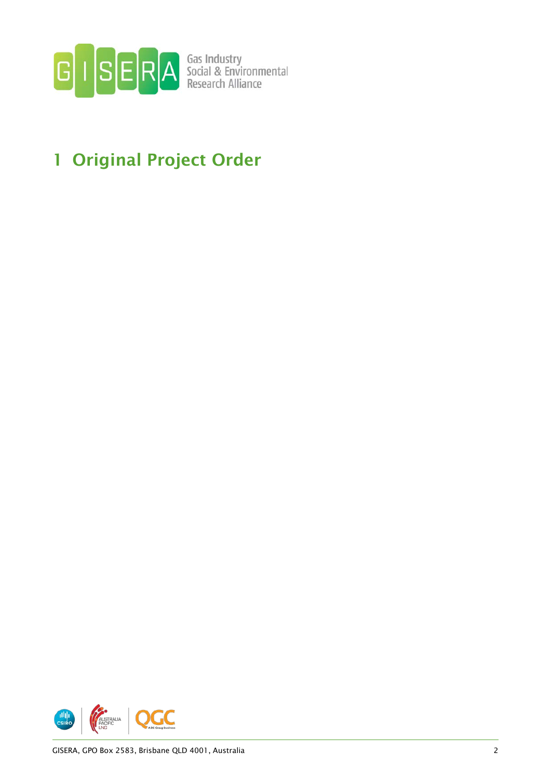

## <span id="page-1-0"></span>1 Original Project Order

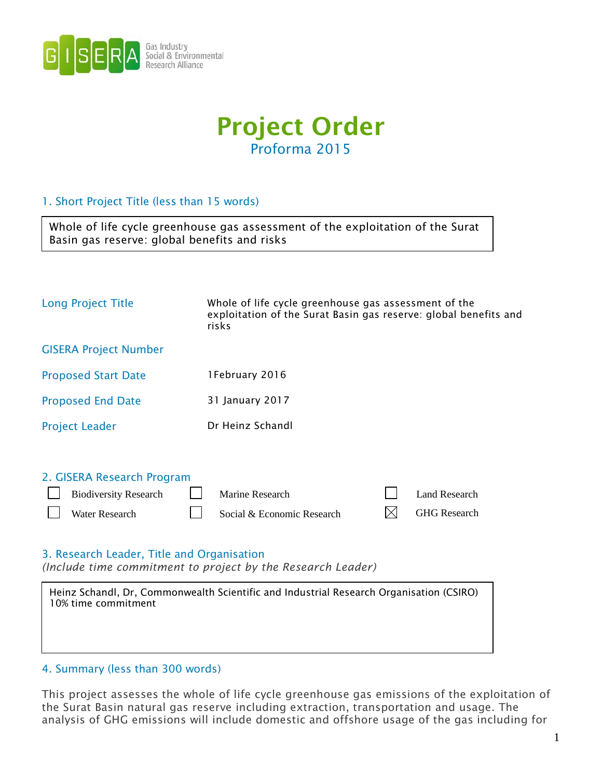



### 1. Short Project Title (less than 15 words)

 $\Gamma$ 

| Basin gas reserve: global benefits and risks | Whole of life cycle greenhouse gas assessment of the exploitation of the Surat                                                    |
|----------------------------------------------|-----------------------------------------------------------------------------------------------------------------------------------|
|                                              |                                                                                                                                   |
| Long Project Title                           | Whole of life cycle greenhouse gas assessment of the<br>exploitation of the Surat Basin gas reserve: global benefits and<br>risks |
| <b>GISERA Project Number</b>                 |                                                                                                                                   |
| <b>Proposed Start Date</b>                   | 1February 2016                                                                                                                    |
| <b>Proposed End Date</b>                     | 31 January 2017                                                                                                                   |
|                                              |                                                                                                                                   |

| <b>Project Leader</b> | Dr Heinz Schandl |
|-----------------------|------------------|
|                       |                  |

| 2. GISERA Research Program                     |                            |                          |
|------------------------------------------------|----------------------------|--------------------------|
| Biodiversity Research <u>J</u> Marine Research |                            | Land Research            |
| <b>Nater Research</b>                          | Social & Economic Research | $\boxtimes$ GHG Research |

### 3. Research Leader, Title and Organisation

*(Include time commitment to project by the Research Leader)*

| Heinz Schandl, Dr. Commonwealth Scientific and Industrial Research Organisation (CSIRO)<br>10% time commitment |
|----------------------------------------------------------------------------------------------------------------|
|                                                                                                                |
|                                                                                                                |

### 4. Summary (less than 300 words)

This project assesses the whole of life cycle greenhouse gas emissions of the exploitation of the Surat Basin natural gas reserve including extraction, transportation and usage. The analysis of GHG emissions will include domestic and offshore usage of the gas including for

٦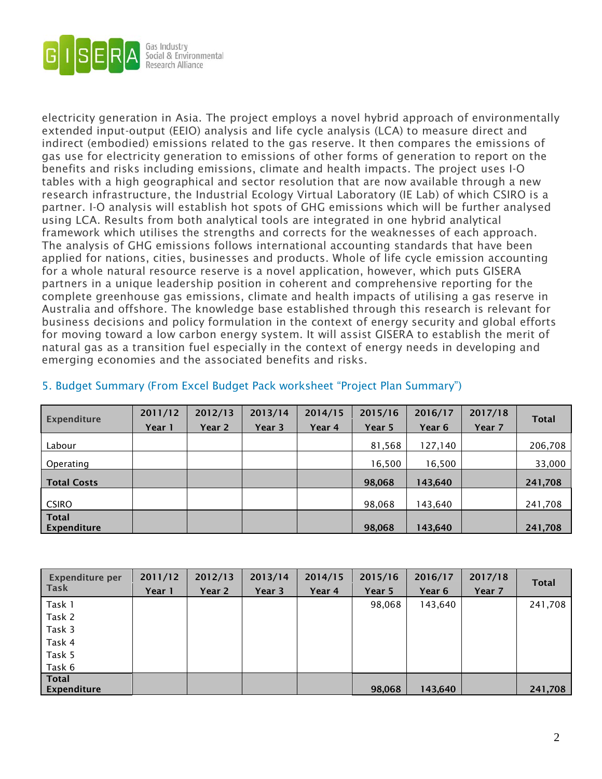

electricity generation in Asia. The project employs a novel hybrid approach of environmentally extended input-output (EEIO) analysis and life cycle analysis (LCA) to measure direct and indirect (embodied) emissions related to the gas reserve. It then compares the emissions of gas use for electricity generation to emissions of other forms of generation to report on the benefits and risks including emissions, climate and health impacts. The project uses I-O tables with a high geographical and sector resolution that are now available through a new research infrastructure, the Industrial Ecology Virtual Laboratory (IE Lab) of which CSIRO is a partner. I-O analysis will establish hot spots of GHG emissions which will be further analysed using LCA. Results from both analytical tools are integrated in one hybrid analytical framework which utilises the strengths and corrects for the weaknesses of each approach. The analysis of GHG emissions follows international accounting standards that have been applied for nations, cities, businesses and products. Whole of life cycle emission accounting for a whole natural resource reserve is a novel application, however, which puts GISERA partners in a unique leadership position in coherent and comprehensive reporting for the complete greenhouse gas emissions, climate and health impacts of utilising a gas reserve in Australia and offshore. The knowledge base established through this research is relevant for business decisions and policy formulation in the context of energy security and global efforts for moving toward a low carbon energy system. It will assist GISERA to establish the merit of natural gas as a transition fuel especially in the context of energy needs in developing and emerging economies and the associated benefits and risks.

| Expenditure                 | 2011/12<br>Year 1 | 2012/13<br>Year 2 | 2013/14<br>Year 3 | 2014/15<br>Year 4 | 2015/16<br>Year 5 | 2016/17<br>Year 6 | 2017/18<br>Year 7 | <b>Total</b> |
|-----------------------------|-------------------|-------------------|-------------------|-------------------|-------------------|-------------------|-------------------|--------------|
| Labour                      |                   |                   |                   |                   | 81,568            | 127,140           |                   | 206,708      |
| Operating                   |                   |                   |                   |                   | 16,500            | 16,500            |                   | 33,000       |
| <b>Total Costs</b>          |                   |                   |                   |                   | 98,068            | 143,640           |                   | 241,708      |
| <b>CSIRO</b>                |                   |                   |                   |                   | 98,068            | 143,640           |                   | 241,708      |
| <b>Total</b><br>Expenditure |                   |                   |                   |                   | 98,068            | 143,640           |                   | 241,708      |

### 5. Budget Summary (From Excel Budget Pack worksheet "Project Plan Summary")

| Expenditure per | 2011/12 | 2012/13 | 2013/14 | 2014/15 | 2015/16 | 2016/17 | 2017/18 | <b>Total</b> |
|-----------------|---------|---------|---------|---------|---------|---------|---------|--------------|
| Task            | Year 1  | Year 2  | Year 3  | Year 4  | Year 5  | Year 6  | Year 7  |              |
| Task 1          |         |         |         |         | 98,068  | 143,640 |         | 241,708      |
| Task 2          |         |         |         |         |         |         |         |              |
| Task 3          |         |         |         |         |         |         |         |              |
| Task 4          |         |         |         |         |         |         |         |              |
| Task 5          |         |         |         |         |         |         |         |              |
| Task 6          |         |         |         |         |         |         |         |              |
| <b>Total</b>    |         |         |         |         |         |         |         |              |
| Expenditure     |         |         |         |         | 98,068  | 143,640 |         | 241,708      |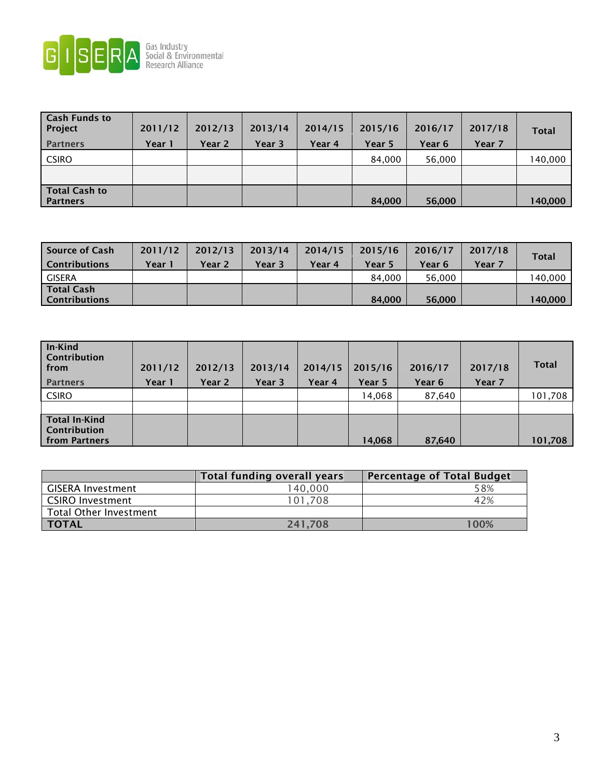

| <b>Cash Funds to</b><br>Project<br><b>Partners</b> | 2011/12<br>Year 1 | 2012/13<br>Year 2 | 2013/14<br>Year 3 | 2014/15<br>Year 4 | 2015/16<br>Year 5 | 2016/17<br>Year 6 | 2017/18<br>Year 7 | <b>Total</b> |
|----------------------------------------------------|-------------------|-------------------|-------------------|-------------------|-------------------|-------------------|-------------------|--------------|
| <b>CSIRO</b>                                       |                   |                   |                   |                   | 84,000            | 56,000            |                   | 140,000      |
|                                                    |                   |                   |                   |                   |                   |                   |                   |              |
| <b>Total Cash to</b><br><b>Partners</b>            |                   |                   |                   |                   | 84,000            | 56,000            |                   | 140,000      |

| Source of Cash<br><b>Contributions</b> | 2011/12<br>Year 1 | 2012/13<br>Year 2 | 2013/14<br>Year 3 | 2014/15<br>Year 4 | 2015/16<br>Year 5 | 2016/17<br>Year 6 | 2017/18<br>Year 7 | <b>Total</b> |
|----------------------------------------|-------------------|-------------------|-------------------|-------------------|-------------------|-------------------|-------------------|--------------|
| <b>GISERA</b>                          |                   |                   |                   |                   | 84.000            | 56.000            |                   | 140,000      |
| Total Cash<br><b>Contributions</b>     |                   |                   |                   |                   | 84,000            | 56,000            |                   | 140.000      |

| In-Kind<br><b>Contribution</b><br>  from<br><b>Partners</b>         | 2011/12<br>Year 1 | 2012/13<br>Year 2 | 2013/14<br>Year 3 | 2014/15<br>Year 4 | 2015/16<br>Year 5 | 2016/17<br>Year 6 | 2017/18<br>Year 7 | <b>Total</b> |
|---------------------------------------------------------------------|-------------------|-------------------|-------------------|-------------------|-------------------|-------------------|-------------------|--------------|
| <b>CSIRO</b>                                                        |                   |                   |                   |                   | 14,068            | 87,640            |                   | 101,708      |
|                                                                     |                   |                   |                   |                   |                   |                   |                   |              |
| <b>Total In-Kind</b><br><b>Contribution</b><br><b>from Partners</b> |                   |                   |                   |                   | 14,068            | 87,640            |                   | 101,708      |

|                               | Total funding overall years | <b>Percentage of Total Budget</b> |
|-------------------------------|-----------------------------|-----------------------------------|
| <b>GISERA Investment</b>      | 140,000                     | 58%                               |
| <b>CSIRO Investment</b>       | 101.708                     | 42%                               |
| <b>Total Other Investment</b> |                             |                                   |
| <b>TOTAL</b>                  | 241,708                     | 100%                              |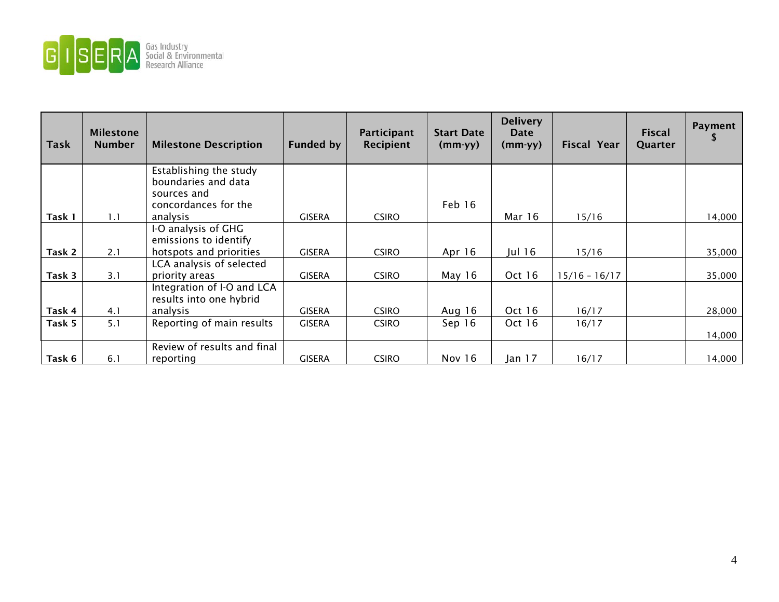

| <b>Task</b> | <b>Milestone</b><br><b>Number</b> | <b>Milestone Description</b>                  | <b>Funded by</b> | Participant<br>Recipient | <b>Start Date</b><br>$(mm-yy)$ | <b>Delivery</b><br>Date<br>$(mm-yy)$ | Fiscal Year     | <b>Fiscal</b><br>Quarter | Payment |
|-------------|-----------------------------------|-----------------------------------------------|------------------|--------------------------|--------------------------------|--------------------------------------|-----------------|--------------------------|---------|
|             |                                   | Establishing the study<br>boundaries and data |                  |                          |                                |                                      |                 |                          |         |
|             |                                   | sources and                                   |                  |                          |                                |                                      |                 |                          |         |
|             |                                   | concordances for the                          |                  |                          | Feb 16                         |                                      |                 |                          |         |
| Task 1      | 1.1                               | analysis                                      | <b>GISERA</b>    | <b>CSIRO</b>             |                                | Mar 16                               | 15/16           |                          | 14,000  |
|             |                                   | I-O analysis of GHG                           |                  |                          |                                |                                      |                 |                          |         |
|             |                                   | emissions to identify                         |                  |                          |                                |                                      |                 |                          |         |
| Task 2      | 2.1                               | hotspots and priorities                       | <b>GISERA</b>    | <b>CSIRO</b>             | Apr $16$                       | Jul 16                               | 15/16           |                          | 35,000  |
|             |                                   | LCA analysis of selected                      |                  |                          |                                |                                      |                 |                          |         |
| Task 3      | 3.1                               | priority areas                                | <b>GISERA</b>    | <b>CSIRO</b>             | May $16$                       | Oct 16                               | $15/16 - 16/17$ |                          | 35,000  |
|             |                                   | Integration of I-O and LCA                    |                  |                          |                                |                                      |                 |                          |         |
|             |                                   | results into one hybrid                       |                  |                          |                                |                                      |                 |                          |         |
| Task 4      | 4.1                               | analysis                                      | <b>GISERA</b>    | <b>CSIRO</b>             | Aug 16                         | Oct 16                               | 16/17           |                          | 28,000  |
| Task 5      | 5.1                               | Reporting of main results                     | <b>GISERA</b>    | <b>CSIRO</b>             | Sep 16                         | Oct 16                               | 16/17           |                          |         |
|             |                                   |                                               |                  |                          |                                |                                      |                 |                          | 14,000  |
|             |                                   | Review of results and final                   |                  |                          |                                |                                      |                 |                          |         |
| Task 6      | 6.1                               | reporting                                     | <b>GISERA</b>    | <b>CSIRO</b>             | Nov 16                         | Jan 17                               | 16/17           |                          | 14,000  |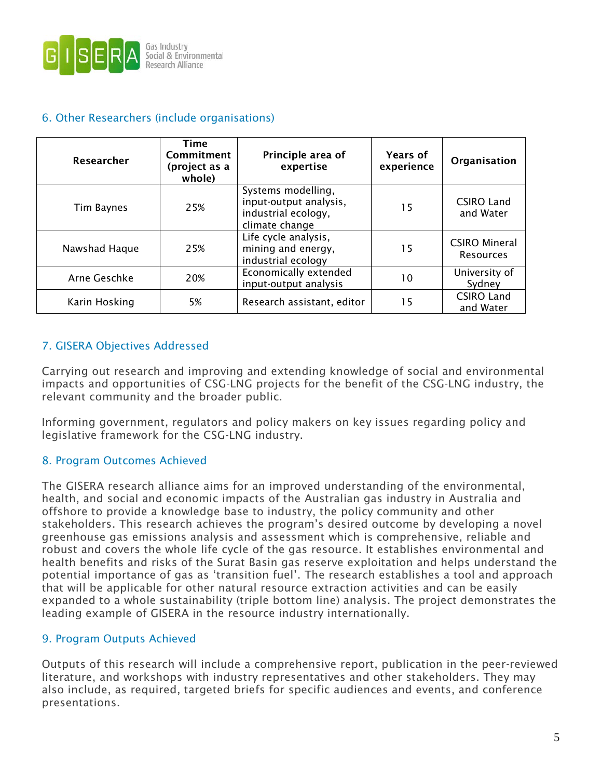

### 6. Other Researchers (include organisations)

| Researcher    | Time<br>Commitment<br>(project as a<br>whole) | Principle area of<br>expertise                                                        | <b>Years of</b><br>experience | Organisation                             |
|---------------|-----------------------------------------------|---------------------------------------------------------------------------------------|-------------------------------|------------------------------------------|
| Tim Baynes    | 25%                                           | Systems modelling,<br>input-output analysis,<br>industrial ecology,<br>climate change | 15                            | <b>CSIRO Land</b><br>and Water           |
| Nawshad Haque | 25%                                           | Life cycle analysis,<br>mining and energy,<br>industrial ecology                      | 15                            | <b>CSIRO Mineral</b><br><b>Resources</b> |
| Arne Geschke  | 20%                                           | Economically extended<br>input-output analysis                                        | 10                            | University of<br>Sydney                  |
| Karin Hosking | 5%                                            | Research assistant, editor                                                            | 15                            | <b>CSIRO Land</b><br>and Water           |

### 7. GISERA Objectives Addressed

Carrying out research and improving and extending knowledge of social and environmental impacts and opportunities of CSG-LNG projects for the benefit of the CSG-LNG industry, the relevant community and the broader public.

Informing government, regulators and policy makers on key issues regarding policy and legislative framework for the CSG-LNG industry.

### 8. Program Outcomes Achieved

The GISERA research alliance aims for an improved understanding of the environmental, health, and social and economic impacts of the Australian gas industry in Australia and offshore to provide a knowledge base to industry, the policy community and other stakeholders. This research achieves the program's desired outcome by developing a novel greenhouse gas emissions analysis and assessment which is comprehensive, reliable and robust and covers the whole life cycle of the gas resource. It establishes environmental and health benefits and risks of the Surat Basin gas reserve exploitation and helps understand the potential importance of gas as 'transition fuel'. The research establishes a tool and approach that will be applicable for other natural resource extraction activities and can be easily expanded to a whole sustainability (triple bottom line) analysis. The project demonstrates the leading example of GISERA in the resource industry internationally.

### 9. Program Outputs Achieved

Outputs of this research will include a comprehensive report, publication in the peer-reviewed literature, and workshops with industry representatives and other stakeholders. They may also include, as required, targeted briefs for specific audiences and events, and conference presentations.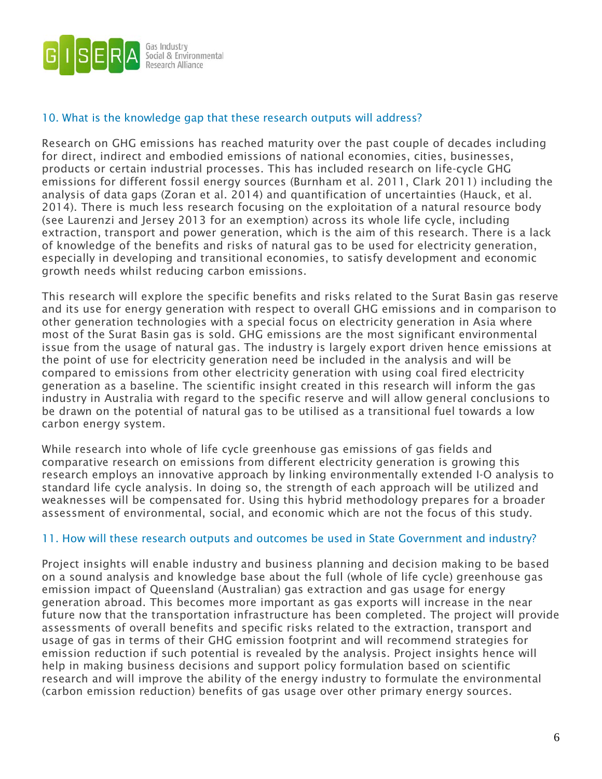

### 10. What is the knowledge gap that these research outputs will address?

Research on GHG emissions has reached maturity over the past couple of decades including for direct, indirect and embodied emissions of national economies, cities, businesses, products or certain industrial processes. This has included research on life-cycle GHG emissions for different fossil energy sources (Burnham et al. 2011, Clark 2011) including the analysis of data gaps (Zoran et al. 2014) and quantification of uncertainties (Hauck, et al. 2014). There is much less research focusing on the exploitation of a natural resource body (see Laurenzi and Jersey 2013 for an exemption) across its whole life cycle, including extraction, transport and power generation, which is the aim of this research. There is a lack of knowledge of the benefits and risks of natural gas to be used for electricity generation, especially in developing and transitional economies, to satisfy development and economic growth needs whilst reducing carbon emissions.

This research will explore the specific benefits and risks related to the Surat Basin gas reserve and its use for energy generation with respect to overall GHG emissions and in comparison to other generation technologies with a special focus on electricity generation in Asia where most of the Surat Basin gas is sold. GHG emissions are the most significant environmental issue from the usage of natural gas. The industry is largely export driven hence emissions at the point of use for electricity generation need be included in the analysis and will be compared to emissions from other electricity generation with using coal fired electricity generation as a baseline. The scientific insight created in this research will inform the gas industry in Australia with regard to the specific reserve and will allow general conclusions to be drawn on the potential of natural gas to be utilised as a transitional fuel towards a low carbon energy system.

While research into whole of life cycle greenhouse gas emissions of gas fields and comparative research on emissions from different electricity generation is growing this research employs an innovative approach by linking environmentally extended I-O analysis to standard life cycle analysis. In doing so, the strength of each approach will be utilized and weaknesses will be compensated for. Using this hybrid methodology prepares for a broader assessment of environmental, social, and economic which are not the focus of this study.

### 11. How will these research outputs and outcomes be used in State Government and industry?

Project insights will enable industry and business planning and decision making to be based on a sound analysis and knowledge base about the full (whole of life cycle) greenhouse gas emission impact of Queensland (Australian) gas extraction and gas usage for energy generation abroad. This becomes more important as gas exports will increase in the near future now that the transportation infrastructure has been completed. The project will provide assessments of overall benefits and specific risks related to the extraction, transport and usage of gas in terms of their GHG emission footprint and will recommend strategies for emission reduction if such potential is revealed by the analysis. Project insights hence will help in making business decisions and support policy formulation based on scientific research and will improve the ability of the energy industry to formulate the environmental (carbon emission reduction) benefits of gas usage over other primary energy sources.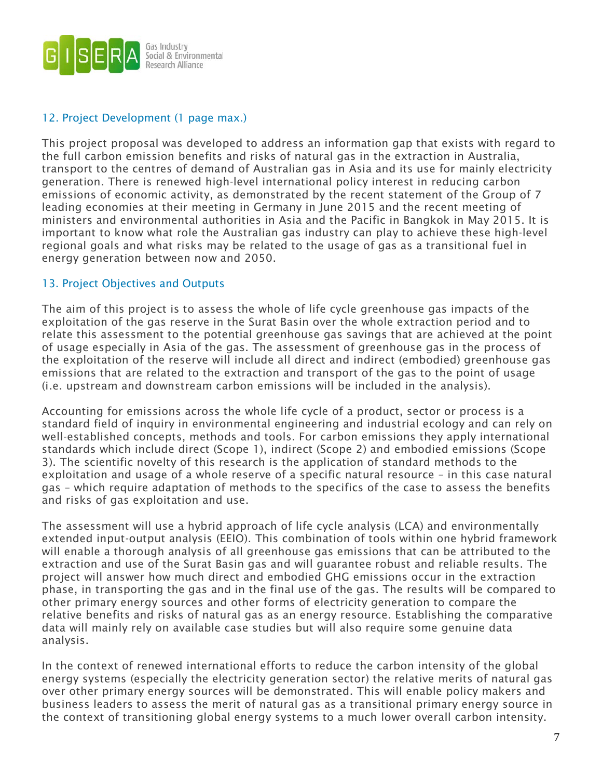

### 12. Project Development (1 page max.)

This project proposal was developed to address an information gap that exists with regard to the full carbon emission benefits and risks of natural gas in the extraction in Australia, transport to the centres of demand of Australian gas in Asia and its use for mainly electricity generation. There is renewed high-level international policy interest in reducing carbon emissions of economic activity, as demonstrated by the recent statement of the Group of 7 leading economies at their meeting in Germany in June 2015 and the recent meeting of ministers and environmental authorities in Asia and the Pacific in Bangkok in May 2015. It is important to know what role the Australian gas industry can play to achieve these high-level regional goals and what risks may be related to the usage of gas as a transitional fuel in energy generation between now and 2050.

### 13. Project Objectives and Outputs

The aim of this project is to assess the whole of life cycle greenhouse gas impacts of the exploitation of the gas reserve in the Surat Basin over the whole extraction period and to relate this assessment to the potential greenhouse gas savings that are achieved at the point of usage especially in Asia of the gas. The assessment of greenhouse gas in the process of the exploitation of the reserve will include all direct and indirect (embodied) greenhouse gas emissions that are related to the extraction and transport of the gas to the point of usage (i.e. upstream and downstream carbon emissions will be included in the analysis).

Accounting for emissions across the whole life cycle of a product, sector or process is a standard field of inquiry in environmental engineering and industrial ecology and can rely on well-established concepts, methods and tools. For carbon emissions they apply international standards which include direct (Scope 1), indirect (Scope 2) and embodied emissions (Scope 3). The scientific novelty of this research is the application of standard methods to the exploitation and usage of a whole reserve of a specific natural resource – in this case natural gas – which require adaptation of methods to the specifics of the case to assess the benefits and risks of gas exploitation and use.

The assessment will use a hybrid approach of life cycle analysis (LCA) and environmentally extended input-output analysis (EEIO). This combination of tools within one hybrid framework will enable a thorough analysis of all greenhouse gas emissions that can be attributed to the extraction and use of the Surat Basin gas and will guarantee robust and reliable results. The project will answer how much direct and embodied GHG emissions occur in the extraction phase, in transporting the gas and in the final use of the gas. The results will be compared to other primary energy sources and other forms of electricity generation to compare the relative benefits and risks of natural gas as an energy resource. Establishing the comparative data will mainly rely on available case studies but will also require some genuine data analysis.

In the context of renewed international efforts to reduce the carbon intensity of the global energy systems (especially the electricity generation sector) the relative merits of natural gas over other primary energy sources will be demonstrated. This will enable policy makers and business leaders to assess the merit of natural gas as a transitional primary energy source in the context of transitioning global energy systems to a much lower overall carbon intensity.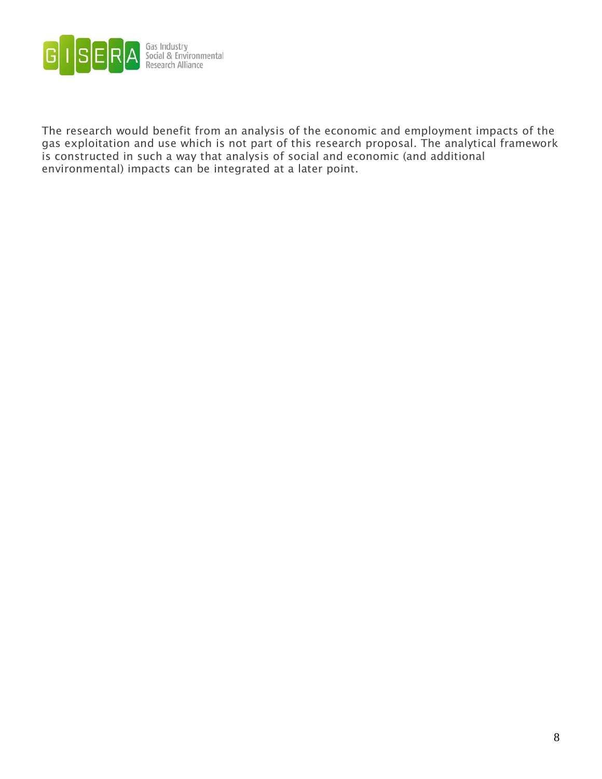

The research would benefit from an analysis of the economic and employment impacts of the gas exploitation and use which is not part of this research proposal. The analytical framework is constructed in such a way that analysis of social and economic (and additional environmental) impacts can be integrated at a later point.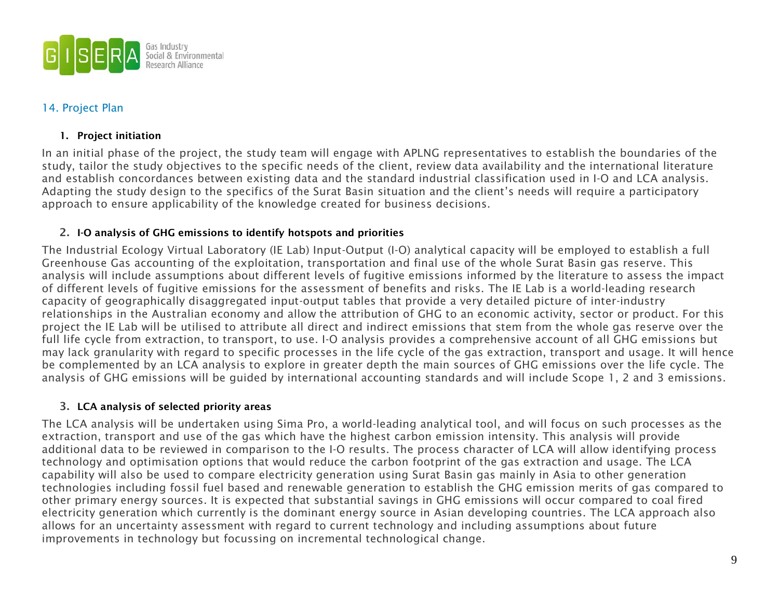

### 14. Project Plan

### 1. Project initiation

In an initial phase of the project, the study team will engage with APLNG representatives to establish the boundaries of the study, tailor the study objectives to the specific needs of the client, review data availability and the international literature and establish concordances between existing data and the standard industrial classification used in I-O and LCA analysis. Adapting the study design to the specifics of the Surat Basin situation and the client's needs will require a participatory approach to ensure applicability of the knowledge created for business decisions.

### 2. I-O analysis of GHG emissions to identify hotspots and priorities

The Industrial Ecology Virtual Laboratory (IE Lab) Input-Output (I-O) analytical capacity will be employed to establish a full Greenhouse Gas accounting of the exploitation, transportation and final use of the whole Surat Basin gas reserve. This analysis will include assumptions about different levels of fugitive emissions informed by the literature to assess the impact of different levels of fugitive emissions for the assessment of benefits and risks. The IE Lab is a world-leading research capacity of geographically disaggregated input-output tables that provide a very detailed picture of inter-industry relationships in the Australian economy and allow the attribution of GHG to an economic activity, sector or product. For this project the IE Lab will be utilised to attribute all direct and indirect emissions that stem from the whole gas reserve over the full life cycle from extraction, to transport, to use. I-O analysis provides a comprehensive account of all GHG emissions but may lack granularity with regard to specific processes in the life cycle of the gas extraction, transport and usage. It will hence be complemented by an LCA analysis to explore in greater depth the main sources of GHG emissions over the life cycle. The analysis of GHG emissions will be guided by international accounting standards and will include Scope 1, 2 and 3 emissions.

### 3. LCA analysis of selected priority areas

The LCA analysis will be undertaken using Sima Pro, a world-leading analytical tool, and will focus on such processes as the extraction, transport and use of the gas which have the highest carbon emission intensity. This analysis will provide additional data to be reviewed in comparison to the I-O results. The process character of LCA will allow identifying process technology and optimisation options that would reduce the carbon footprint of the gas extraction and usage. The LCA capability will also be used to compare electricity generation using Surat Basin gas mainly in Asia to other generation technologies including fossil fuel based and renewable generation to establish the GHG emission merits of gas compared to other primary energy sources. It is expected that substantial savings in GHG emissions will occur compared to coal fired electricity generation which currently is the dominant energy source in Asian developing countries. The LCA approach also allows for an uncertainty assessment with regard to current technology and including assumptions about future improvements in technology but focussing on incremental technological change.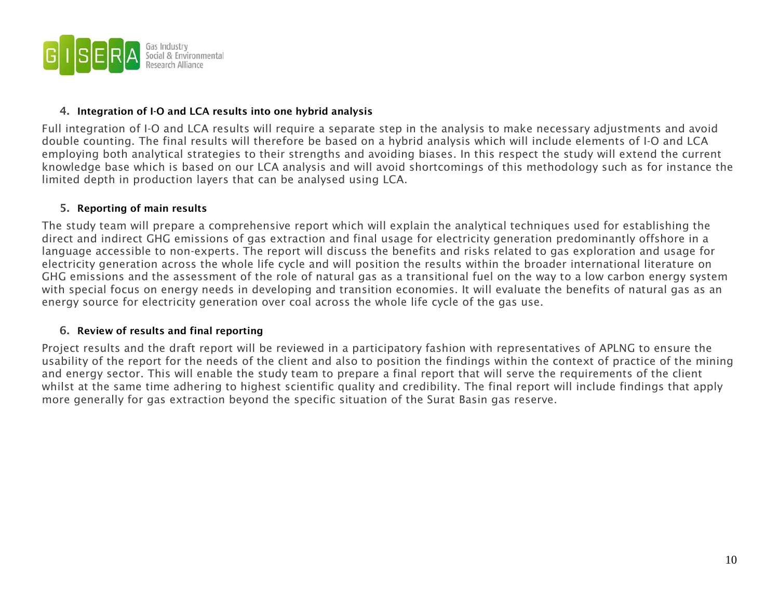

#### 4. Integration of I-O and LCA results into one hybrid analysis

Full integration of I-O and LCA results will require a separate step in the analysis to make necessary adjustments and avoid double counting. The final results will therefore be based on a hybrid analysis which will include elements of I-O and LCA employing both analytical strategies to their strengths and avoiding biases. In this respect the study will extend the current knowledge base which is based on our LCA analysis and will avoid shortcomings of this methodology such as for instance the limited depth in production layers that can be analysed using LCA.

### 5. Reporting of main results

The study team will prepare a comprehensive report which will explain the analytical techniques used for establishing the direct and indirect GHG emissions of gas extraction and final usage for electricity generation predominantly offshore in a language accessible to non-experts. The report will discuss the benefits and risks related to gas exploration and usage for electricity generation across the whole life cycle and will position the results within the broader international literature on GHG emissions and the assessment of the role of natural gas as a transitional fuel on the way to a low carbon energy system with special focus on energy needs in developing and transition economies. It will evaluate the benefits of natural gas as an energy source for electricity generation over coal across the whole life cycle of the gas use.

### 6. Review of results and final reporting

Project results and the draft report will be reviewed in a participatory fashion with representatives of APLNG to ensure the usability of the report for the needs of the client and also to position the findings within the context of practice of the mining and energy sector. This will enable the study team to prepare a final report that will serve the requirements of the client whilst at the same time adhering to highest scientific quality and credibility. The final report will include findings that apply more generally for gas extraction beyond the specific situation of the Surat Basin gas reserve.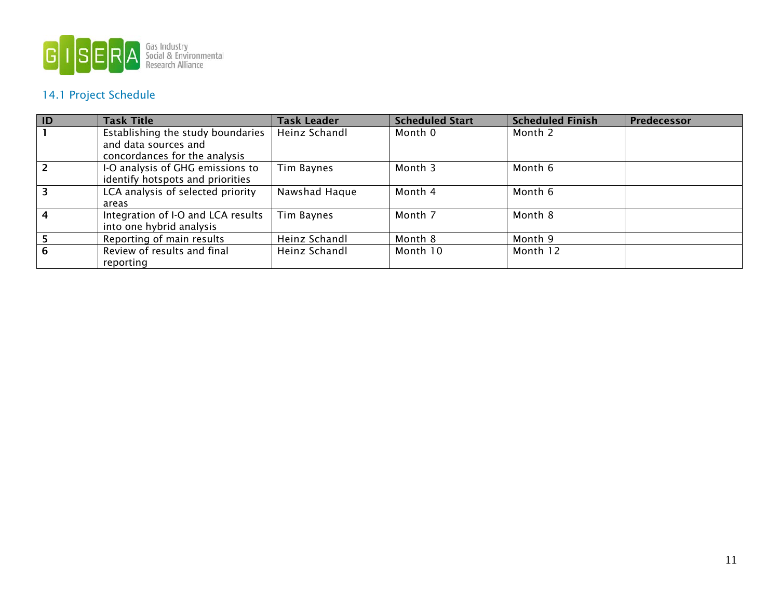

### 14.1 Project Schedule

| $\overline{1}$          | <b>Task Title</b>                  | <b>Task Leader</b> | <b>Scheduled Start</b> | <b>Scheduled Finish</b> | Predecessor |
|-------------------------|------------------------------------|--------------------|------------------------|-------------------------|-------------|
|                         | Establishing the study boundaries  | Heinz Schandl      | Month 0                | Month 2                 |             |
|                         | and data sources and               |                    |                        |                         |             |
|                         | concordances for the analysis      |                    |                        |                         |             |
| $\overline{2}$          | I-O analysis of GHG emissions to   | Tim Baynes         | Month 3                | Month 6                 |             |
|                         | identify hotspots and priorities   |                    |                        |                         |             |
| $\overline{\mathbf{3}}$ | LCA analysis of selected priority  | Nawshad Haque      | Month 4                | Month 6                 |             |
|                         | areas                              |                    |                        |                         |             |
| $\overline{4}$          | Integration of I-O and LCA results | Tim Baynes         | Month 7                | Month 8                 |             |
|                         | into one hybrid analysis           |                    |                        |                         |             |
|                         | Reporting of main results          | Heinz Schandl      | Month 8                | Month 9                 |             |
| 6                       | Review of results and final        | Heinz Schandl      | Month 10               | Month 12                |             |
|                         | reporting                          |                    |                        |                         |             |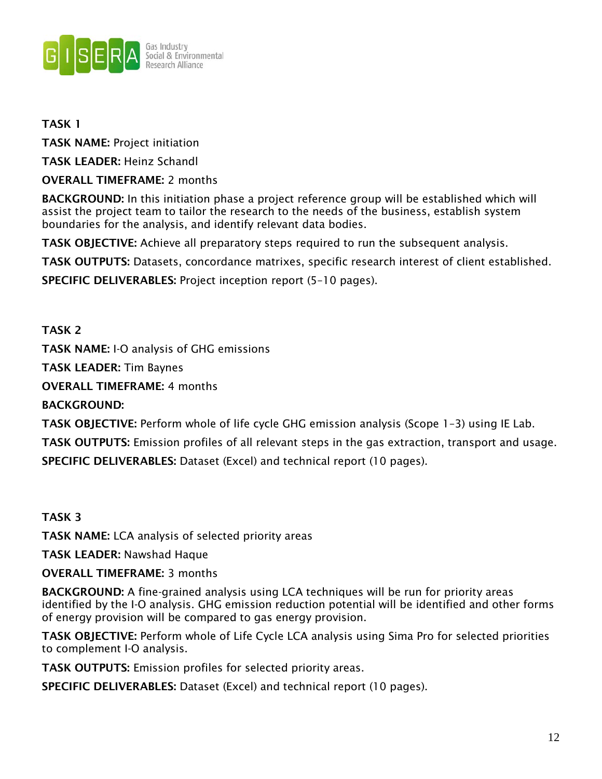

### TASK 1

TASK NAME: Project initiation

TASK LEADER: Heinz Schandl

OVERALL TIMEFRAME: 2 months

BACKGROUND: In this initiation phase a project reference group will be established which will assist the project team to tailor the research to the needs of the business, establish system boundaries for the analysis, and identify relevant data bodies.

TASK OBJECTIVE: Achieve all preparatory steps required to run the subsequent analysis.

TASK OUTPUTS: Datasets, concordance matrixes, specific research interest of client established.

SPECIFIC DELIVERABLES: Project inception report (5–10 pages).

TASK 2

TASK NAME: I-O analysis of GHG emissions

TASK LEADER: Tim Baynes

OVERALL TIMEFRAME: 4 months

BACKGROUND:

TASK OBJECTIVE: Perform whole of life cycle GHG emission analysis (Scope 1–3) using IE Lab.

TASK OUTPUTS: Emission profiles of all relevant steps in the gas extraction, transport and usage.

SPECIFIC DELIVERABLES: Dataset (Excel) and technical report (10 pages).

TASK 3

TASK NAME: LCA analysis of selected priority areas

TASK LEADER: Nawshad Haque

### OVERALL TIMEFRAME: 3 months

BACKGROUND: A fine-grained analysis using LCA techniques will be run for priority areas identified by the I-O analysis. GHG emission reduction potential will be identified and other forms of energy provision will be compared to gas energy provision.

TASK OBJECTIVE: Perform whole of Life Cycle LCA analysis using Sima Pro for selected priorities to complement I-O analysis.

TASK OUTPUTS: Emission profiles for selected priority areas.

SPECIFIC DELIVERABLES: Dataset (Excel) and technical report (10 pages).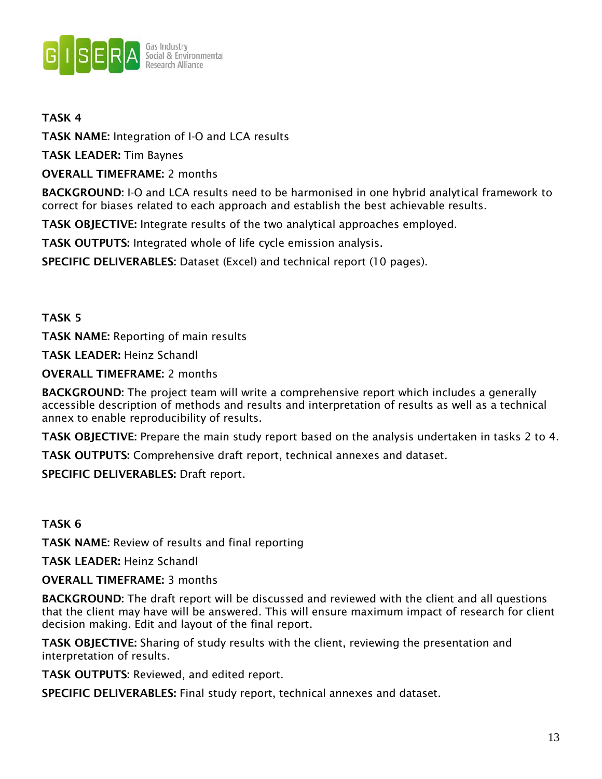

### TASK 4

TASK NAME: Integration of I-O and LCA results

TASK LEADER: Tim Baynes

OVERALL TIMEFRAME: 2 months

BACKGROUND: I-O and LCA results need to be harmonised in one hybrid analytical framework to correct for biases related to each approach and establish the best achievable results.

TASK OBJECTIVE: Integrate results of the two analytical approaches employed.

TASK OUTPUTS: Integrated whole of life cycle emission analysis.

SPECIFIC DELIVERABLES: Dataset (Excel) and technical report (10 pages).

### TASK 5

TASK NAME: Reporting of main results

TASK LEADER: Heinz Schandl

OVERALL TIMEFRAME: 2 months

BACKGROUND: The project team will write a comprehensive report which includes a generally accessible description of methods and results and interpretation of results as well as a technical annex to enable reproducibility of results.

TASK OBJECTIVE: Prepare the main study report based on the analysis undertaken in tasks 2 to 4.

TASK OUTPUTS: Comprehensive draft report, technical annexes and dataset.

SPECIFIC DELIVERABLES: Draft report.

### TASK 6

TASK NAME: Review of results and final reporting

TASK LEADER: Heinz Schandl

OVERALL TIMEFRAME: 3 months

BACKGROUND: The draft report will be discussed and reviewed with the client and all questions that the client may have will be answered. This will ensure maximum impact of research for client decision making. Edit and layout of the final report.

TASK OBJECTIVE: Sharing of study results with the client, reviewing the presentation and interpretation of results.

TASK OUTPUTS: Reviewed, and edited report.

SPECIFIC DELIVERABLES: Final study report, technical annexes and dataset.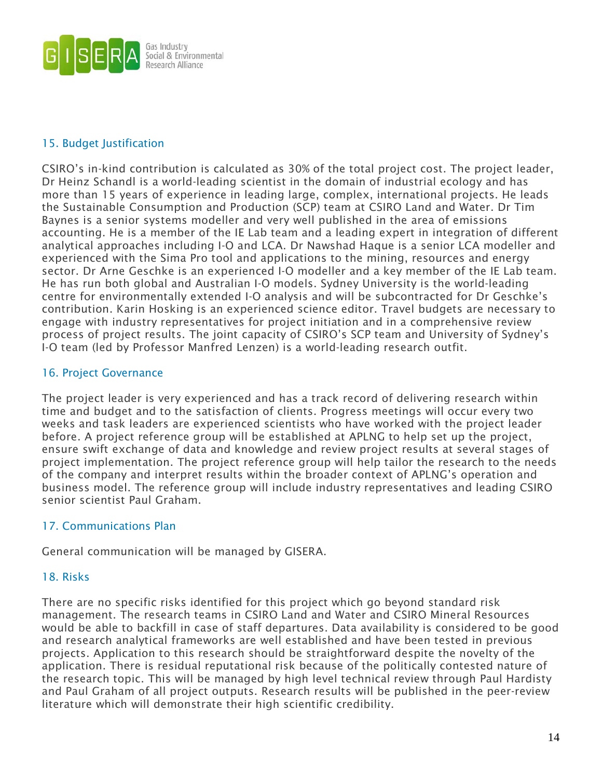

### 15. Budget Justification

CSIRO's in-kind contribution is calculated as 30% of the total project cost. The project leader, Dr Heinz Schandl is a world-leading scientist in the domain of industrial ecology and has more than 15 years of experience in leading large, complex, international projects. He leads the Sustainable Consumption and Production (SCP) team at CSIRO Land and Water. Dr Tim Baynes is a senior systems modeller and very well published in the area of emissions accounting. He is a member of the IE Lab team and a leading expert in integration of different analytical approaches including I-O and LCA. Dr Nawshad Haque is a senior LCA modeller and experienced with the Sima Pro tool and applications to the mining, resources and energy sector. Dr Arne Geschke is an experienced I-O modeller and a key member of the IE Lab team. He has run both global and Australian I-O models. Sydney University is the world-leading centre for environmentally extended I-O analysis and will be subcontracted for Dr Geschke's contribution. Karin Hosking is an experienced science editor. Travel budgets are necessary to engage with industry representatives for project initiation and in a comprehensive review process of project results. The joint capacity of CSIRO's SCP team and University of Sydney's I-O team (led by Professor Manfred Lenzen) is a world-leading research outfit.

### 16. Project Governance

The project leader is very experienced and has a track record of delivering research within time and budget and to the satisfaction of clients. Progress meetings will occur every two weeks and task leaders are experienced scientists who have worked with the project leader before. A project reference group will be established at APLNG to help set up the project, ensure swift exchange of data and knowledge and review project results at several stages of project implementation. The project reference group will help tailor the research to the needs of the company and interpret results within the broader context of APLNG's operation and business model. The reference group will include industry representatives and leading CSIRO senior scientist Paul Graham.

### 17. Communications Plan

General communication will be managed by GISERA.

### 18. Risks

There are no specific risks identified for this project which go beyond standard risk management. The research teams in CSIRO Land and Water and CSIRO Mineral Resources would be able to backfill in case of staff departures. Data availability is considered to be good and research analytical frameworks are well established and have been tested in previous projects. Application to this research should be straightforward despite the novelty of the application. There is residual reputational risk because of the politically contested nature of the research topic. This will be managed by high level technical review through Paul Hardisty and Paul Graham of all project outputs. Research results will be published in the peer-review literature which will demonstrate their high scientific credibility.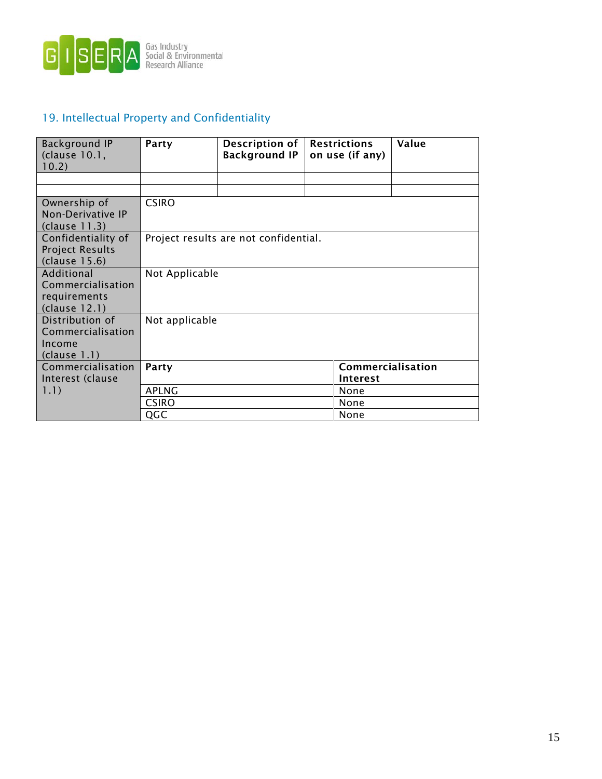

### 19. Intellectual Property and Confidentiality

| Background IP<br>(clause 10.1,<br>10.2) | Party                                 | Description of<br><b>Background IP</b> | <b>Restrictions</b><br>on use (if any) | Value |
|-----------------------------------------|---------------------------------------|----------------------------------------|----------------------------------------|-------|
|                                         |                                       |                                        |                                        |       |
|                                         |                                       |                                        |                                        |       |
| Ownership of                            | <b>CSIRO</b>                          |                                        |                                        |       |
| Non-Derivative IP                       |                                       |                                        |                                        |       |
| (clause 11.3)                           |                                       |                                        |                                        |       |
| Confidentiality of                      | Project results are not confidential. |                                        |                                        |       |
| <b>Project Results</b>                  |                                       |                                        |                                        |       |
| (clause 15.6)                           |                                       |                                        |                                        |       |
| Additional                              | Not Applicable                        |                                        |                                        |       |
| Commercialisation                       |                                       |                                        |                                        |       |
| requirements                            |                                       |                                        |                                        |       |
| (clause 12.1)                           |                                       |                                        |                                        |       |
| Distribution of                         | Not applicable                        |                                        |                                        |       |
| Commercialisation                       |                                       |                                        |                                        |       |
| Income                                  |                                       |                                        |                                        |       |
| clause 1.1)                             |                                       |                                        |                                        |       |
| Commercialisation                       | Party                                 |                                        | Commercialisation                      |       |
| Interest (clause                        |                                       |                                        | Interest                               |       |
| 1.1)                                    | <b>APLNG</b>                          |                                        | None                                   |       |
|                                         | <b>CSIRO</b>                          |                                        | None                                   |       |
|                                         | QGC                                   |                                        | None                                   |       |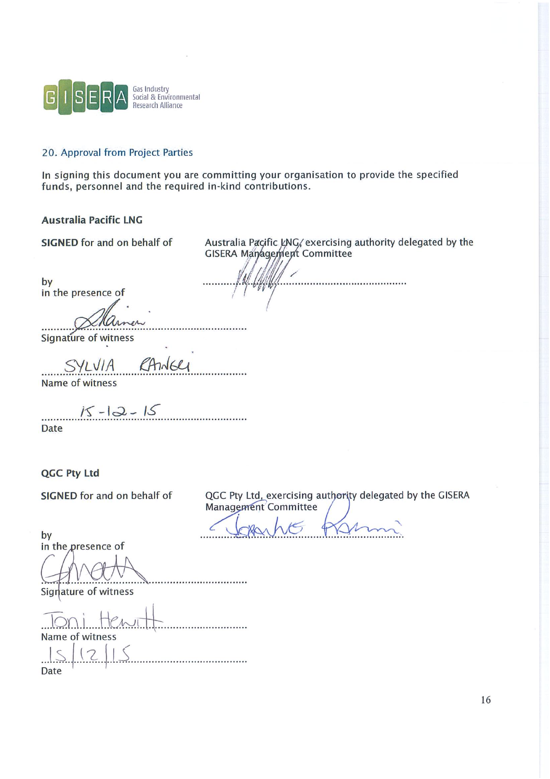

### 20. Approval from Project Parties

In signing this document you are committing your organisation to provide the specified funds, personnel and the required in-kind contributions.

### **Australia Pacific LNG**

SIGNED for and on behalf of

Australia Pacific LNG, exercising authority delegated by the **GISERA Management Committee** 

by in the presence of

Signature of witness

Name of witness

 $15 - 12 - 15$ 

Date

QGC Pty Ltd

SIGNED for and on behalf of

QGC Pty Ltd, exercising authority delegated by the GISERA Management Committee

by in the presence of

Signature of witness

Name of witness

. . . . . . . . . . . . . . Date

16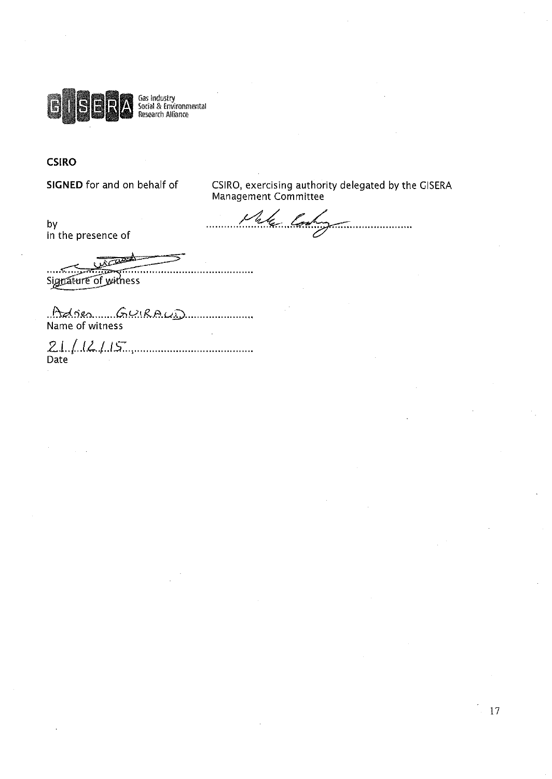

Gas Industry<br>Social & Environmental<br>Research Alliance

### **CSIRO**

SIGNED for and on behalf of

CSIRO, exercising authority delegated by the GISERA<br>Management Committee

4 lor  $\mu$ 

by in the presence of

كسب Signature of witness

Adrien Cuirean Communication

................

 $21 / 12 / 15$ 

17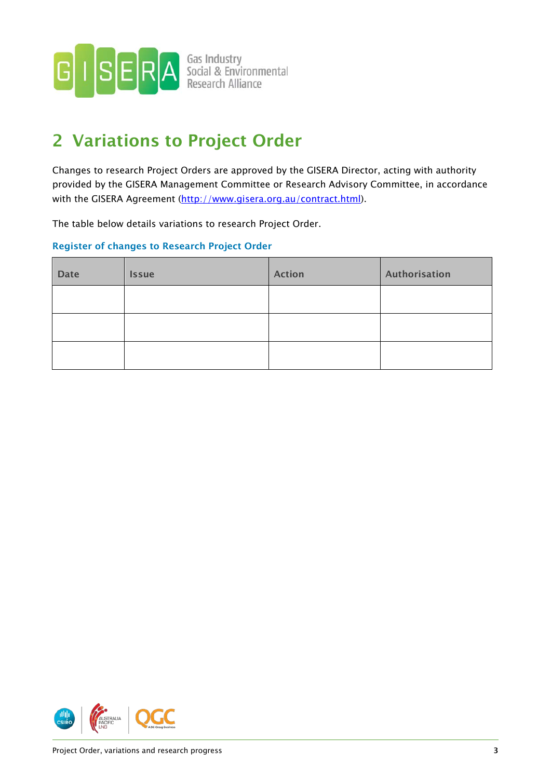<span id="page-19-0"></span>

## 2 Variations to Project Order

Changes to research Project Orders are approved by the GISERA Director, acting with authority provided by the GISERA Management Committee or Research Advisory Committee, in accordance with the GISERA Agreement [\(http://www.gisera.org.au/contract.html\)](http://www.gisera.org.au/contract.html).

The table below details variations to research Project Order.

### Register of changes to Research Project Order

| <b>Date</b> | <b>Issue</b> | <b>Action</b> | Authorisation |
|-------------|--------------|---------------|---------------|
|             |              |               |               |
|             |              |               |               |
|             |              |               |               |

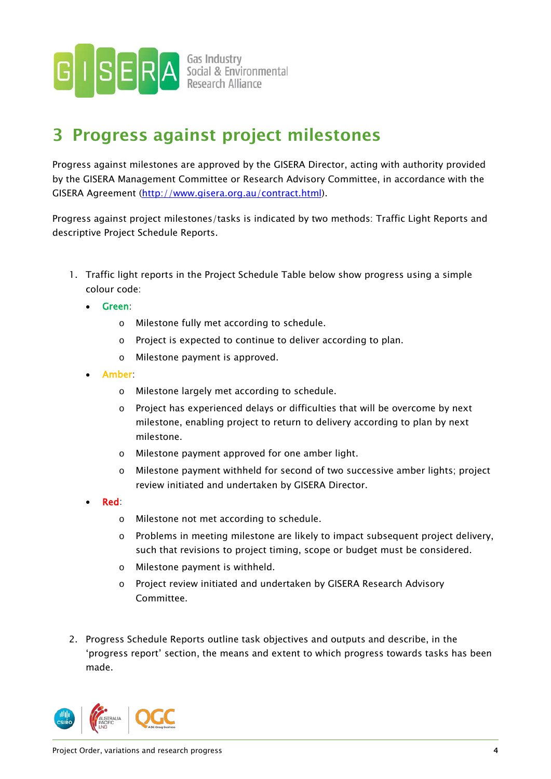

**SERA** Social & Environmental

## 3 Progress against project milestones

Progress against milestones are approved by the GISERA Director, acting with authority provided by the GISERA Management Committee or Research Advisory Committee, in accordance with the GISERA Agreement [\(http://www.gisera.org.au/contract.html\)](http://www.gisera.org.au/contract.html).

Progress against project milestones/tasks is indicated by two methods: Traffic Light Reports and descriptive Project Schedule Reports.

- 1. Traffic light reports in the Project Schedule Table below show progress using a simple colour code:
	- Green:
		- o Milestone fully met according to schedule.
		- o Project is expected to continue to deliver according to plan.
		- o Milestone payment is approved.
	- Amber:
		- o Milestone largely met according to schedule.
		- o Project has experienced delays or difficulties that will be overcome by next milestone, enabling project to return to delivery according to plan by next milestone.
		- o Milestone payment approved for one amber light.
		- o Milestone payment withheld for second of two successive amber lights; project review initiated and undertaken by GISERA Director.
	- Red:
		- o Milestone not met according to schedule.
		- $\circ$  Problems in meeting milestone are likely to impact subsequent project delivery, such that revisions to project timing, scope or budget must be considered.
		- o Milestone payment is withheld.
		- o Project review initiated and undertaken by GISERA Research Advisory Committee.
- 2. Progress Schedule Reports outline task objectives and outputs and describe, in the 'progress report' section, the means and extent to which progress towards tasks has been made.

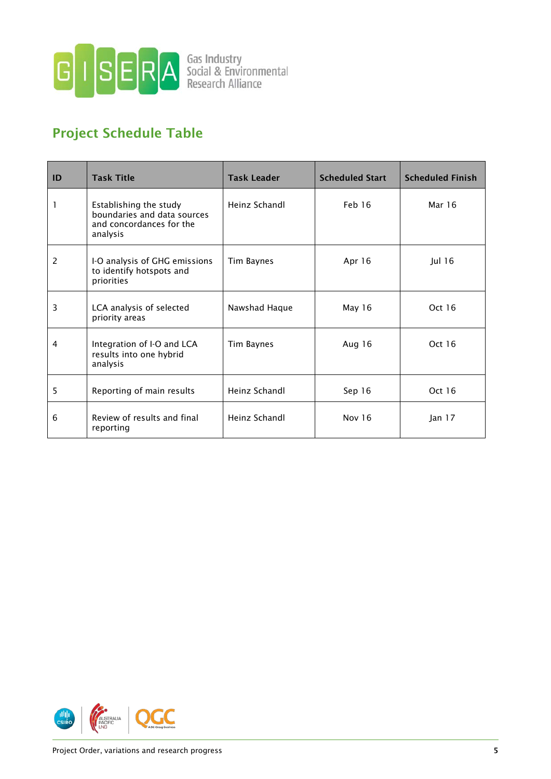

### Project Schedule Table

| ID | <b>Task Title</b>                                                                             | <b>Task Leader</b> | <b>Scheduled Start</b> | <b>Scheduled Finish</b> |
|----|-----------------------------------------------------------------------------------------------|--------------------|------------------------|-------------------------|
| 1  | Establishing the study<br>boundaries and data sources<br>and concordances for the<br>analysis | Heinz Schandl      | Feb 16                 | Mar 16                  |
| 2  | I-O analysis of GHG emissions<br>to identify hotspots and<br>priorities                       | Tim Baynes         | Apr 16                 | Jul 16                  |
| 3  | LCA analysis of selected<br>priority areas                                                    | Nawshad Haque      | May 16                 | Oct 16                  |
| 4  | Integration of I-O and LCA<br>results into one hybrid<br>analysis                             | Tim Baynes         | Aug 16                 | Oct 16                  |
| 5  | Reporting of main results                                                                     | Heinz Schandl      | Sep 16                 | Oct 16                  |
| 6  | Review of results and final<br>reporting                                                      | Heinz Schandl      | Nov 16                 | lan 17                  |